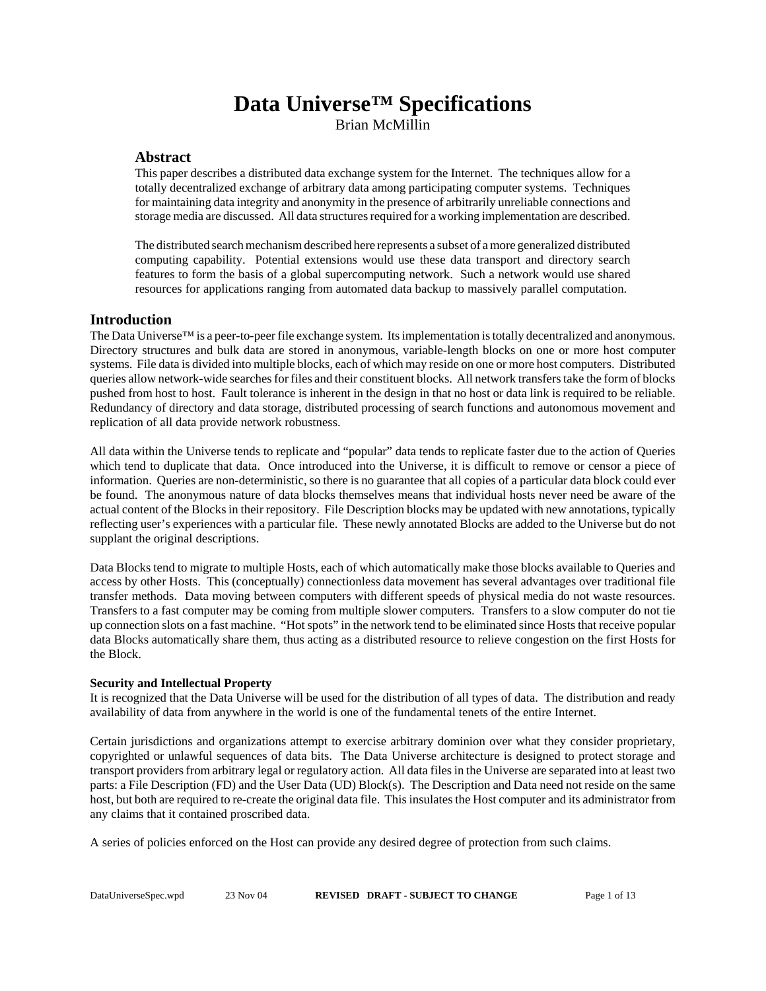# **Data Universe™ Specifications** Brian McMillin

### **Abstract**

This paper describes a distributed data exchange system for the Internet. The techniques allow for a totally decentralized exchange of arbitrary data among participating computer systems. Techniques for maintaining data integrity and anonymity in the presence of arbitrarily unreliable connections and storage media are discussed. All data structures required for a working implementation are described.

The distributed search mechanism described here represents a subset of a more generalized distributed computing capability. Potential extensions would use these data transport and directory search features to form the basis of a global supercomputing network. Such a network would use shared resources for applications ranging from automated data backup to massively parallel computation.

### **Introduction**

The Data Universe™ is a peer-to-peer file exchange system. Its implementation is totally decentralized and anonymous. Directory structures and bulk data are stored in anonymous, variable-length blocks on one or more host computer systems. File data is divided into multiple blocks, each of which may reside on one or more host computers. Distributed queries allow network-wide searches for files and their constituent blocks. All network transfers take the form of blocks pushed from host to host. Fault tolerance is inherent in the design in that no host or data link is required to be reliable. Redundancy of directory and data storage, distributed processing of search functions and autonomous movement and replication of all data provide network robustness.

All data within the Universe tends to replicate and "popular" data tends to replicate faster due to the action of Queries which tend to duplicate that data. Once introduced into the Universe, it is difficult to remove or censor a piece of information. Queries are non-deterministic, so there is no guarantee that all copies of a particular data block could ever be found. The anonymous nature of data blocks themselves means that individual hosts never need be aware of the actual content of the Blocks in their repository. File Description blocks may be updated with new annotations, typically reflecting user's experiences with a particular file. These newly annotated Blocks are added to the Universe but do not supplant the original descriptions.

Data Blocks tend to migrate to multiple Hosts, each of which automatically make those blocks available to Queries and access by other Hosts. This (conceptually) connectionless data movement has several advantages over traditional file transfer methods. Data moving between computers with different speeds of physical media do not waste resources. Transfers to a fast computer may be coming from multiple slower computers. Transfers to a slow computer do not tie up connection slots on a fast machine. "Hot spots" in the network tend to be eliminated since Hosts that receive popular data Blocks automatically share them, thus acting as a distributed resource to relieve congestion on the first Hosts for the Block.

#### **Security and Intellectual Property**

It is recognized that the Data Universe will be used for the distribution of all types of data. The distribution and ready availability of data from anywhere in the world is one of the fundamental tenets of the entire Internet.

Certain jurisdictions and organizations attempt to exercise arbitrary dominion over what they consider proprietary, copyrighted or unlawful sequences of data bits. The Data Universe architecture is designed to protect storage and transport providers from arbitrary legal or regulatory action. All data files in the Universe are separated into at least two parts: a File Description (FD) and the User Data (UD) Block(s). The Description and Data need not reside on the same host, but both are required to re-create the original data file. This insulates the Host computer and its administrator from any claims that it contained proscribed data.

A series of policies enforced on the Host can provide any desired degree of protection from such claims.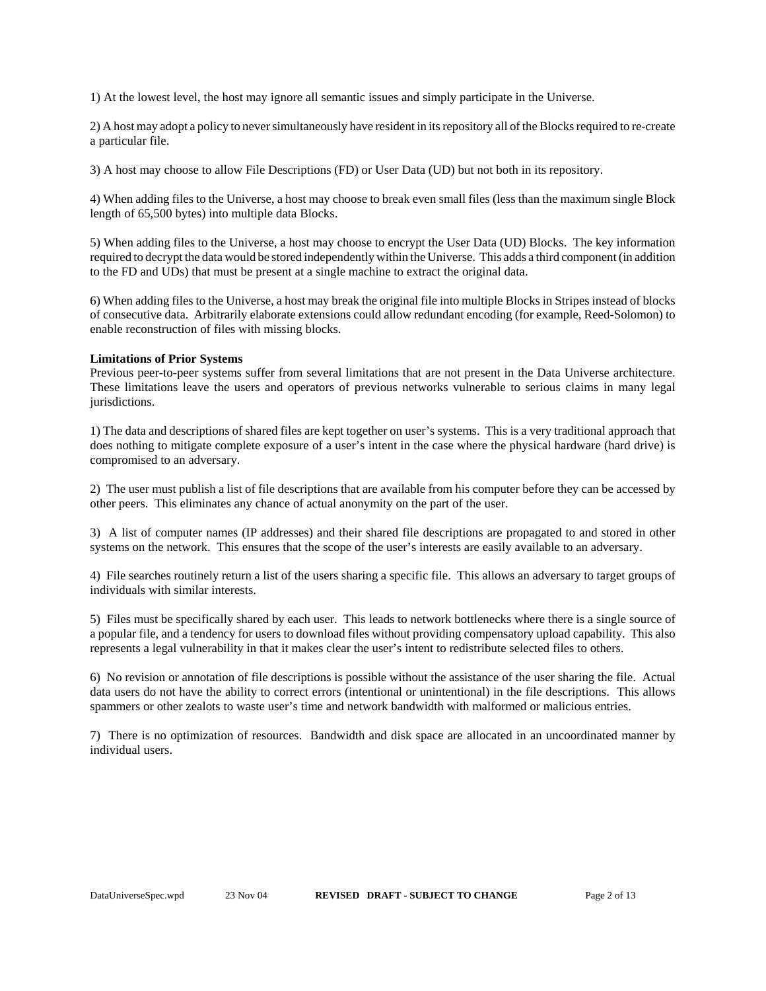1) At the lowest level, the host may ignore all semantic issues and simply participate in the Universe.

2) A host may adopt a policy to never simultaneously have resident in its repository all of the Blocks required to re-create a particular file.

3) A host may choose to allow File Descriptions (FD) or User Data (UD) but not both in its repository.

4) When adding files to the Universe, a host may choose to break even small files (less than the maximum single Block length of 65,500 bytes) into multiple data Blocks.

5) When adding files to the Universe, a host may choose to encrypt the User Data (UD) Blocks. The key information required to decrypt the data would be stored independently within the Universe. This adds a third component (in addition to the FD and UDs) that must be present at a single machine to extract the original data.

6) When adding files to the Universe, a host may break the original file into multiple Blocks in Stripes instead of blocks of consecutive data. Arbitrarily elaborate extensions could allow redundant encoding (for example, Reed-Solomon) to enable reconstruction of files with missing blocks.

#### **Limitations of Prior Systems**

Previous peer-to-peer systems suffer from several limitations that are not present in the Data Universe architecture. These limitations leave the users and operators of previous networks vulnerable to serious claims in many legal jurisdictions.

1) The data and descriptions of shared files are kept together on user's systems. This is a very traditional approach that does nothing to mitigate complete exposure of a user's intent in the case where the physical hardware (hard drive) is compromised to an adversary.

2) The user must publish a list of file descriptions that are available from his computer before they can be accessed by other peers. This eliminates any chance of actual anonymity on the part of the user.

3) A list of computer names (IP addresses) and their shared file descriptions are propagated to and stored in other systems on the network. This ensures that the scope of the user's interests are easily available to an adversary.

4) File searches routinely return a list of the users sharing a specific file. This allows an adversary to target groups of individuals with similar interests.

5) Files must be specifically shared by each user. This leads to network bottlenecks where there is a single source of a popular file, and a tendency for users to download files without providing compensatory upload capability. This also represents a legal vulnerability in that it makes clear the user's intent to redistribute selected files to others.

6) No revision or annotation of file descriptions is possible without the assistance of the user sharing the file. Actual data users do not have the ability to correct errors (intentional or unintentional) in the file descriptions. This allows spammers or other zealots to waste user's time and network bandwidth with malformed or malicious entries.

7) There is no optimization of resources. Bandwidth and disk space are allocated in an uncoordinated manner by individual users.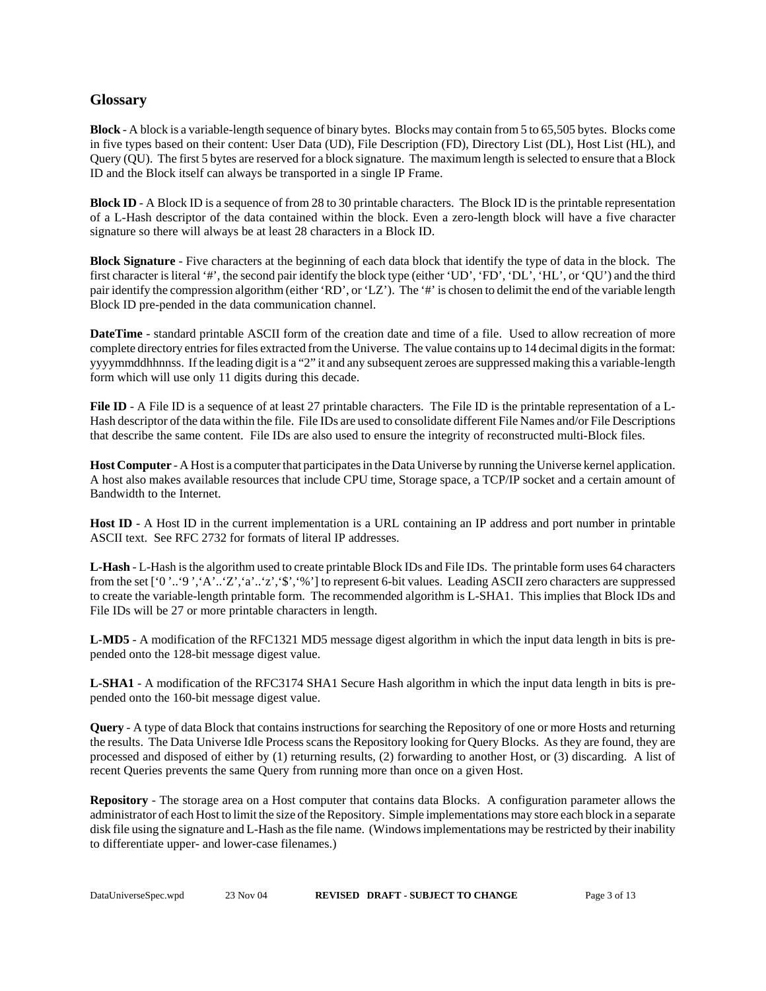# **Glossary**

**Block** - A block is a variable-length sequence of binary bytes. Blocks may contain from 5 to 65,505 bytes. Blocks come in five types based on their content: User Data (UD), File Description (FD), Directory List (DL), Host List (HL), and Query (QU). The first 5 bytes are reserved for a block signature. The maximum length is selected to ensure that a Block ID and the Block itself can always be transported in a single IP Frame.

**Block ID** - A Block ID is a sequence of from 28 to 30 printable characters. The Block ID is the printable representation of a L-Hash descriptor of the data contained within the block. Even a zero-length block will have a five character signature so there will always be at least 28 characters in a Block ID.

**Block Signature** - Five characters at the beginning of each data block that identify the type of data in the block. The first character is literal '#', the second pair identify the block type (either 'UD', 'FD', 'DL', 'HL', or 'QU') and the third pair identify the compression algorithm (either 'RD', or 'LZ'). The '#' is chosen to delimit the end of the variable length Block ID pre-pended in the data communication channel.

**DateTime** - standard printable ASCII form of the creation date and time of a file. Used to allow recreation of more complete directory entries for files extracted from the Universe. The value contains up to 14 decimal digits in the format: yyyymmddhhnnss. If the leading digit is a "2" it and any subsequent zeroes are suppressed making this a variable-length form which will use only 11 digits during this decade.

File ID - A File ID is a sequence of at least 27 printable characters. The File ID is the printable representation of a L-Hash descriptor of the data within the file. File IDs are used to consolidate different File Names and/or File Descriptions that describe the same content. File IDs are also used to ensure the integrity of reconstructed multi-Block files.

**Host Computer** - A Host is a computer that participates in the Data Universe by running the Universe kernel application. A host also makes available resources that include CPU time, Storage space, a TCP/IP socket and a certain amount of Bandwidth to the Internet.

**Host ID** - A Host ID in the current implementation is a URL containing an IP address and port number in printable ASCII text. See RFC 2732 for formats of literal IP addresses.

**L-Hash** - L-Hash is the algorithm used to create printable Block IDs and File IDs. The printable form uses 64 characters from the set ['0 '..'9 ','A'..'Z','a'..'z','\$','%'] to represent 6-bit values. Leading ASCII zero characters are suppressed to create the variable-length printable form. The recommended algorithm is L-SHA1. This implies that Block IDs and File IDs will be 27 or more printable characters in length.

**L-MD5** - A modification of the RFC1321 MD5 message digest algorithm in which the input data length in bits is prepended onto the 128-bit message digest value.

**L-SHA1** - A modification of the RFC3174 SHA1 Secure Hash algorithm in which the input data length in bits is prepended onto the 160-bit message digest value.

**Query** - A type of data Block that contains instructions for searching the Repository of one or more Hosts and returning the results. The Data Universe Idle Process scans the Repository looking for Query Blocks. As they are found, they are processed and disposed of either by (1) returning results, (2) forwarding to another Host, or (3) discarding. A list of recent Queries prevents the same Query from running more than once on a given Host.

**Repository** - The storage area on a Host computer that contains data Blocks. A configuration parameter allows the administrator of each Host to limit the size of the Repository. Simple implementations may store each block in a separate disk file using the signature and L-Hash as the file name. (Windows implementations may be restricted by their inability to differentiate upper- and lower-case filenames.)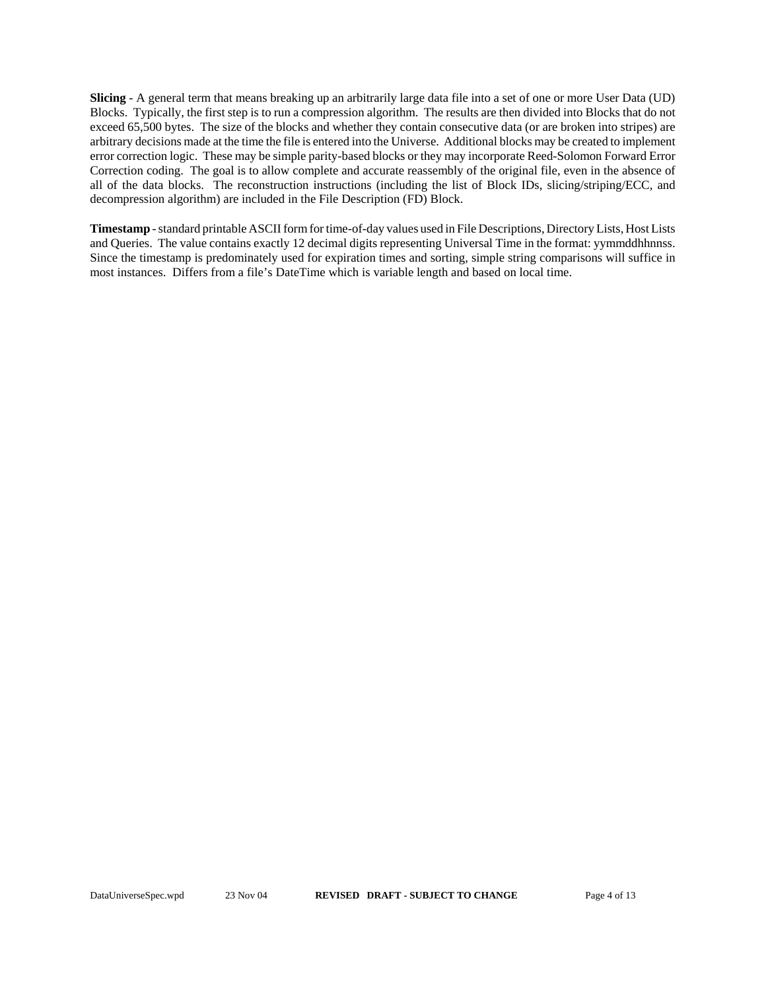**Slicing** - A general term that means breaking up an arbitrarily large data file into a set of one or more User Data (UD) Blocks. Typically, the first step is to run a compression algorithm. The results are then divided into Blocks that do not exceed 65,500 bytes. The size of the blocks and whether they contain consecutive data (or are broken into stripes) are arbitrary decisions made at the time the file is entered into the Universe. Additional blocks may be created to implement error correction logic. These may be simple parity-based blocks or they may incorporate Reed-Solomon Forward Error Correction coding. The goal is to allow complete and accurate reassembly of the original file, even in the absence of all of the data blocks. The reconstruction instructions (including the list of Block IDs, slicing/striping/ECC, and decompression algorithm) are included in the File Description (FD) Block.

**Timestamp** - standard printable ASCII form for time-of-day values used in File Descriptions, Directory Lists, Host Lists and Queries. The value contains exactly 12 decimal digits representing Universal Time in the format: yymmddhhnnss. Since the timestamp is predominately used for expiration times and sorting, simple string comparisons will suffice in most instances. Differs from a file's DateTime which is variable length and based on local time.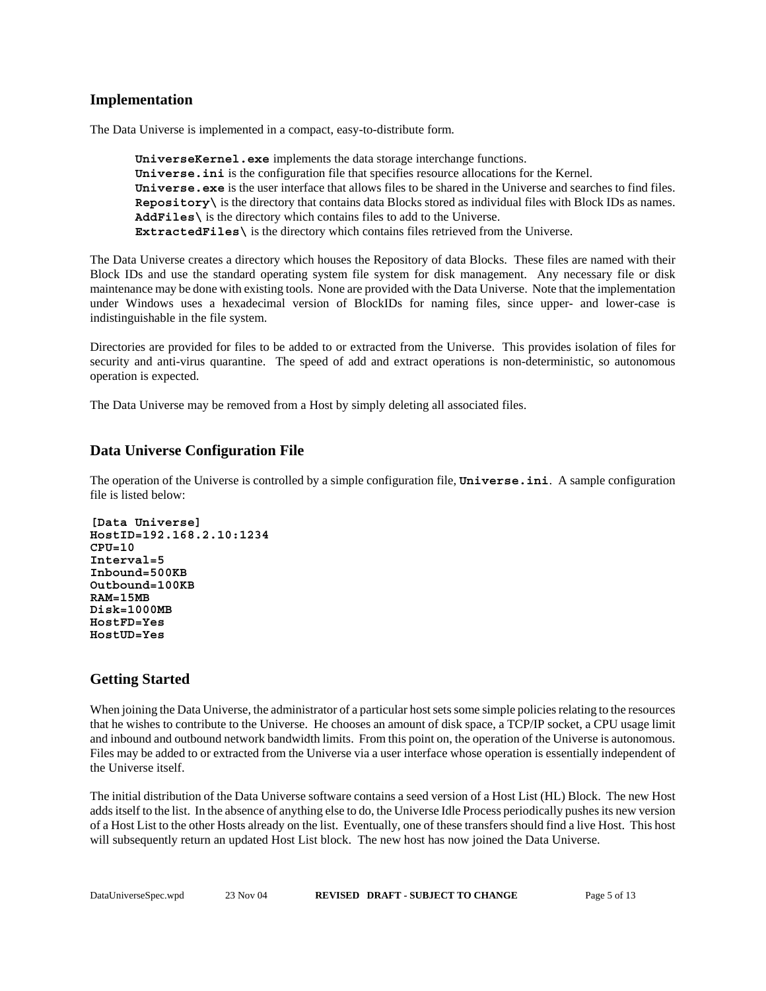# **Implementation**

The Data Universe is implemented in a compact, easy-to-distribute form.

**UniverseKernel.exe** implements the data storage interchange functions. **Universe.ini** is the configuration file that specifies resource allocations for the Kernel. **Universe.exe** is the user interface that allows files to be shared in the Universe and searches to find files. **Repository\** is the directory that contains data Blocks stored as individual files with Block IDs as names. **AddFiles\** is the directory which contains files to add to the Universe. **ExtractedFiles\** is the directory which contains files retrieved from the Universe.

The Data Universe creates a directory which houses the Repository of data Blocks. These files are named with their Block IDs and use the standard operating system file system for disk management. Any necessary file or disk maintenance may be done with existing tools. None are provided with the Data Universe. Note that the implementation under Windows uses a hexadecimal version of BlockIDs for naming files, since upper- and lower-case is indistinguishable in the file system.

Directories are provided for files to be added to or extracted from the Universe. This provides isolation of files for security and anti-virus quarantine. The speed of add and extract operations is non-deterministic, so autonomous operation is expected.

The Data Universe may be removed from a Host by simply deleting all associated files.

# **Data Universe Configuration File**

The operation of the Universe is controlled by a simple configuration file, **Universe.ini**. A sample configuration file is listed below:

```
[Data Universe]
HostID=192.168.2.10:1234
CPU=10
Interval=5
Inbound=500KB
Outbound=100KB
RAM=15MB
Disk=1000MB
HostFD=Yes
HostUD=Yes
```
# **Getting Started**

When joining the Data Universe, the administrator of a particular host sets some simple policies relating to the resources that he wishes to contribute to the Universe. He chooses an amount of disk space, a TCP/IP socket, a CPU usage limit and inbound and outbound network bandwidth limits. From this point on, the operation of the Universe is autonomous. Files may be added to or extracted from the Universe via a user interface whose operation is essentially independent of the Universe itself.

The initial distribution of the Data Universe software contains a seed version of a Host List (HL) Block. The new Host adds itself to the list. In the absence of anything else to do, the Universe Idle Process periodically pushes its new version of a Host List to the other Hosts already on the list. Eventually, one of these transfers should find a live Host. This host will subsequently return an updated Host List block. The new host has now joined the Data Universe.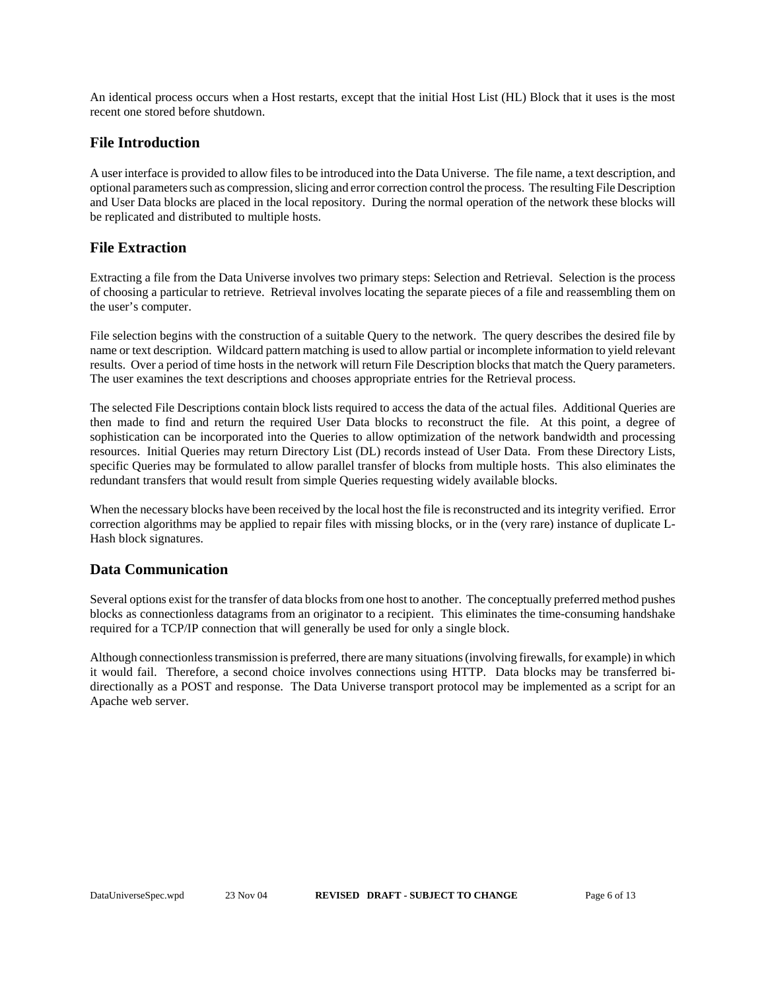An identical process occurs when a Host restarts, except that the initial Host List (HL) Block that it uses is the most recent one stored before shutdown.

# **File Introduction**

A user interface is provided to allow files to be introduced into the Data Universe. The file name, a text description, and optional parameters such as compression, slicing and error correction control the process. The resulting File Description and User Data blocks are placed in the local repository. During the normal operation of the network these blocks will be replicated and distributed to multiple hosts.

# **File Extraction**

Extracting a file from the Data Universe involves two primary steps: Selection and Retrieval. Selection is the process of choosing a particular to retrieve. Retrieval involves locating the separate pieces of a file and reassembling them on the user's computer.

File selection begins with the construction of a suitable Query to the network. The query describes the desired file by name or text description. Wildcard pattern matching is used to allow partial or incomplete information to yield relevant results. Over a period of time hosts in the network will return File Description blocks that match the Query parameters. The user examines the text descriptions and chooses appropriate entries for the Retrieval process.

The selected File Descriptions contain block lists required to access the data of the actual files. Additional Queries are then made to find and return the required User Data blocks to reconstruct the file. At this point, a degree of sophistication can be incorporated into the Queries to allow optimization of the network bandwidth and processing resources. Initial Queries may return Directory List (DL) records instead of User Data. From these Directory Lists, specific Queries may be formulated to allow parallel transfer of blocks from multiple hosts. This also eliminates the redundant transfers that would result from simple Queries requesting widely available blocks.

When the necessary blocks have been received by the local host the file is reconstructed and its integrity verified. Error correction algorithms may be applied to repair files with missing blocks, or in the (very rare) instance of duplicate L-Hash block signatures.

# **Data Communication**

Several options exist for the transfer of data blocks from one host to another. The conceptually preferred method pushes blocks as connectionless datagrams from an originator to a recipient. This eliminates the time-consuming handshake required for a TCP/IP connection that will generally be used for only a single block.

Although connectionless transmission is preferred, there are many situations (involving firewalls, for example) in which it would fail. Therefore, a second choice involves connections using HTTP. Data blocks may be transferred bidirectionally as a POST and response. The Data Universe transport protocol may be implemented as a script for an Apache web server.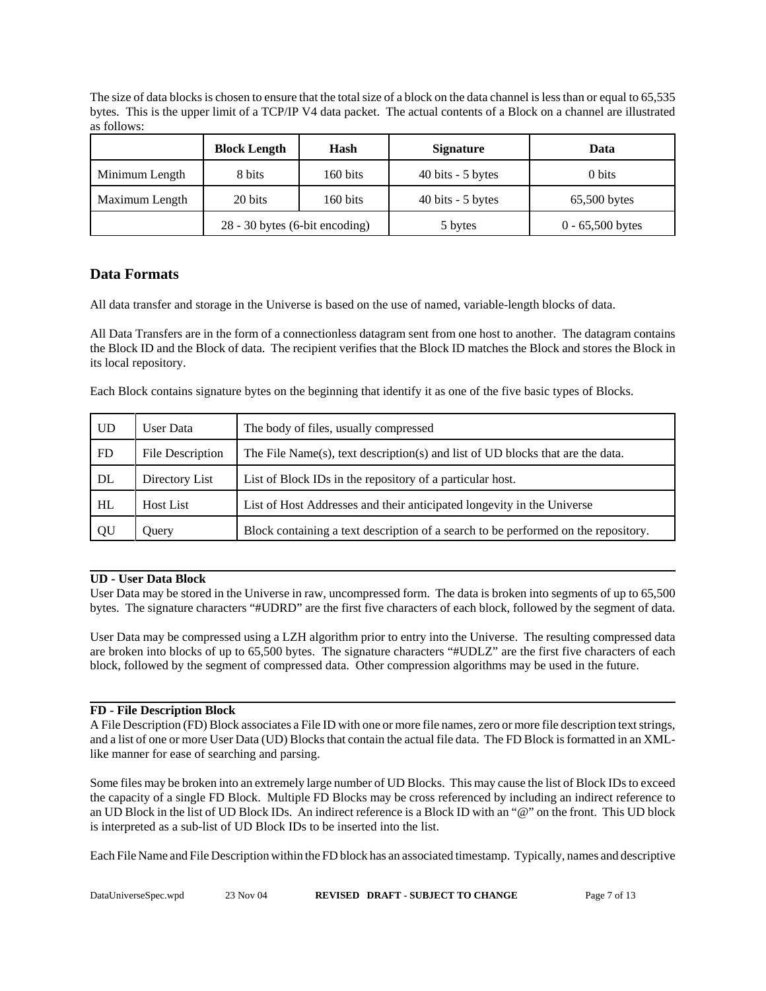The size of data blocks is chosen to ensure that the total size of a block on the data channel is less than or equal to 65,535 bytes. This is the upper limit of a TCP/IP V4 data packet. The actual contents of a Block on a channel are illustrated as follows:

|                | <b>Block Length</b>            | Hash     | <b>Signature</b>   | Data               |
|----------------|--------------------------------|----------|--------------------|--------------------|
| Minimum Length | 8 bits                         | 160 bits | 40 bits $-5$ bytes | 0 bits             |
| Maximum Length | 20 bits                        | 160 bits | 40 bits $-5$ bytes | $65,500$ bytes     |
|                | 28 - 30 bytes (6-bit encoding) |          | 5 bytes            | $0 - 65,500$ bytes |

# **Data Formats**

All data transfer and storage in the Universe is based on the use of named, variable-length blocks of data.

All Data Transfers are in the form of a connectionless datagram sent from one host to another. The datagram contains the Block ID and the Block of data. The recipient verifies that the Block ID matches the Block and stores the Block in its local repository.

Each Block contains signature bytes on the beginning that identify it as one of the five basic types of Blocks.

| UD        | User Data        | The body of files, usually compressed                                              |
|-----------|------------------|------------------------------------------------------------------------------------|
| <b>FD</b> | File Description | The File Name(s), text description(s) and list of UD blocks that are the data.     |
| DL        | Directory List   | List of Block IDs in the repository of a particular host.                          |
| HL        | <b>Host List</b> | List of Host Addresses and their anticipated longevity in the Universe             |
| QU        | Ouery            | Block containing a text description of a search to be performed on the repository. |

# **UD - User Data Block**

User Data may be stored in the Universe in raw, uncompressed form. The data is broken into segments of up to 65,500 bytes. The signature characters "#UDRD" are the first five characters of each block, followed by the segment of data.

User Data may be compressed using a LZH algorithm prior to entry into the Universe. The resulting compressed data are broken into blocks of up to 65,500 bytes. The signature characters "#UDLZ" are the first five characters of each block, followed by the segment of compressed data. Other compression algorithms may be used in the future.

# **FD - File Description Block**

A File Description (FD) Block associates a File ID with one or more file names, zero or more file description text strings, and a list of one or more User Data (UD) Blocks that contain the actual file data. The FD Block is formatted in an XMLlike manner for ease of searching and parsing.

Some files may be broken into an extremely large number of UD Blocks. This may cause the list of Block IDs to exceed the capacity of a single FD Block. Multiple FD Blocks may be cross referenced by including an indirect reference to an UD Block in the list of UD Block IDs. An indirect reference is a Block ID with an "@" on the front. This UD block is interpreted as a sub-list of UD Block IDs to be inserted into the list.

Each File Name and File Description within the FD block has an associated timestamp. Typically, names and descriptive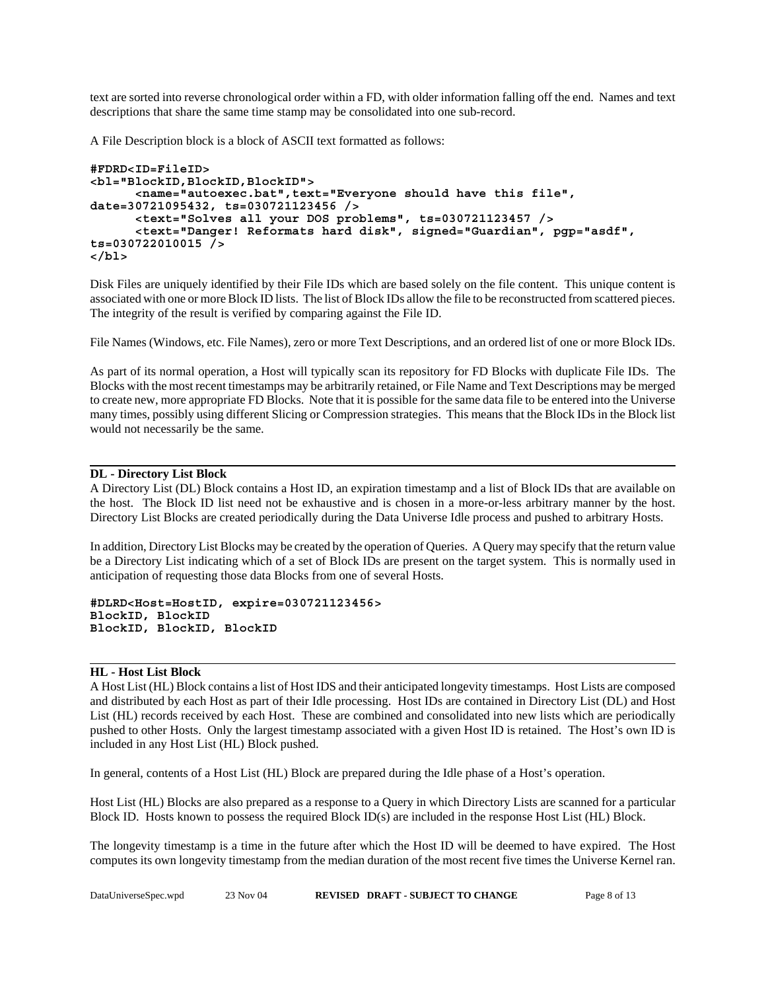text are sorted into reverse chronological order within a FD, with older information falling off the end. Names and text descriptions that share the same time stamp may be consolidated into one sub-record.

A File Description block is a block of ASCII text formatted as follows:

```
#FDRD<ID=FileID>
<bl="BlockID,BlockID,BlockID">
      <name="autoexec.bat",text="Everyone should have this file",
date=30721095432, ts=030721123456 />
      <text="Solves all your DOS problems", ts=030721123457 />
      <text="Danger! Reformats hard disk", signed="Guardian", pgp="asdf",
ts=030722010015 />
</bl>
```
Disk Files are uniquely identified by their File IDs which are based solely on the file content. This unique content is associated with one or more Block ID lists. The list of Block IDs allow the file to be reconstructed from scattered pieces. The integrity of the result is verified by comparing against the File ID.

File Names (Windows, etc. File Names), zero or more Text Descriptions, and an ordered list of one or more Block IDs.

As part of its normal operation, a Host will typically scan its repository for FD Blocks with duplicate File IDs. The Blocks with the most recent timestamps may be arbitrarily retained, or File Name and Text Descriptions may be merged to create new, more appropriate FD Blocks. Note that it is possible for the same data file to be entered into the Universe many times, possibly using different Slicing or Compression strategies. This means that the Block IDs in the Block list would not necessarily be the same.

#### **DL - Directory List Block**

A Directory List (DL) Block contains a Host ID, an expiration timestamp and a list of Block IDs that are available on the host. The Block ID list need not be exhaustive and is chosen in a more-or-less arbitrary manner by the host. Directory List Blocks are created periodically during the Data Universe Idle process and pushed to arbitrary Hosts.

In addition, Directory List Blocks may be created by the operation of Queries. A Query may specify that the return value be a Directory List indicating which of a set of Block IDs are present on the target system. This is normally used in anticipation of requesting those data Blocks from one of several Hosts.

**#DLRD<Host=HostID, expire=030721123456> BlockID, BlockID BlockID, BlockID, BlockID**

#### **HL - Host List Block**

A Host List (HL) Block contains a list of Host IDS and their anticipated longevity timestamps. Host Lists are composed and distributed by each Host as part of their Idle processing. Host IDs are contained in Directory List (DL) and Host List (HL) records received by each Host. These are combined and consolidated into new lists which are periodically pushed to other Hosts. Only the largest timestamp associated with a given Host ID is retained. The Host's own ID is included in any Host List (HL) Block pushed.

In general, contents of a Host List (HL) Block are prepared during the Idle phase of a Host's operation.

Host List (HL) Blocks are also prepared as a response to a Query in which Directory Lists are scanned for a particular Block ID. Hosts known to possess the required Block ID(s) are included in the response Host List (HL) Block.

The longevity timestamp is a time in the future after which the Host ID will be deemed to have expired. The Host computes its own longevity timestamp from the median duration of the most recent five times the Universe Kernel ran.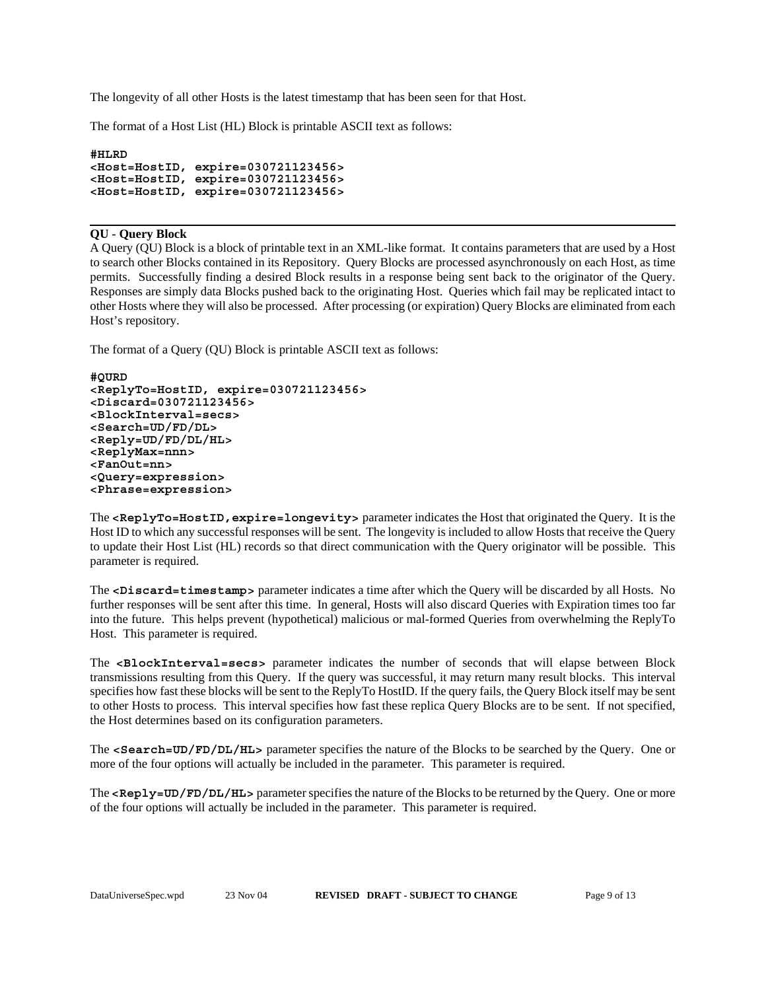The longevity of all other Hosts is the latest timestamp that has been seen for that Host.

The format of a Host List (HL) Block is printable ASCII text as follows:

```
#HLRD
<Host=HostID, expire=030721123456>
<Host=HostID, expire=030721123456>
<Host=HostID, expire=030721123456>
```
#### **QU - Query Block**

A Query (QU) Block is a block of printable text in an XML-like format. It contains parameters that are used by a Host to search other Blocks contained in its Repository. Query Blocks are processed asynchronously on each Host, as time permits. Successfully finding a desired Block results in a response being sent back to the originator of the Query. Responses are simply data Blocks pushed back to the originating Host. Queries which fail may be replicated intact to other Hosts where they will also be processed. After processing (or expiration) Query Blocks are eliminated from each Host's repository.

The format of a Query (QU) Block is printable ASCII text as follows:

```
#QURD
<ReplyTo=HostID, expire=030721123456>
<Discard=030721123456>
<BlockInterval=secs>
<Search=UD/FD/DL>
<Reply=UD/FD/DL/HL>
<ReplyMax=nnn>
<FanOut=nn>
<Query=expression>
<Phrase=expression>
```
The **<ReplyTo=HostID,expire=longevity>** parameter indicates the Host that originated the Query. It is the Host ID to which any successful responses will be sent. The longevity is included to allow Hosts that receive the Query to update their Host List (HL) records so that direct communication with the Query originator will be possible. This parameter is required.

The **<Discard=timestamp>** parameter indicates a time after which the Query will be discarded by all Hosts. No further responses will be sent after this time. In general, Hosts will also discard Queries with Expiration times too far into the future. This helps prevent (hypothetical) malicious or mal-formed Queries from overwhelming the ReplyTo Host. This parameter is required.

The **<BlockInterval=secs>** parameter indicates the number of seconds that will elapse between Block transmissions resulting from this Query. If the query was successful, it may return many result blocks. This interval specifies how fast these blocks will be sent to the ReplyTo HostID. If the query fails, the Query Block itself may be sent to other Hosts to process. This interval specifies how fast these replica Query Blocks are to be sent. If not specified, the Host determines based on its configuration parameters.

The **<Search=UD/FD/DL/HL>** parameter specifies the nature of the Blocks to be searched by the Query. One or more of the four options will actually be included in the parameter. This parameter is required.

The **<Reply=UD/FD/DL/HL>** parameter specifies the nature of the Blocks to be returned by the Query. One or more of the four options will actually be included in the parameter. This parameter is required.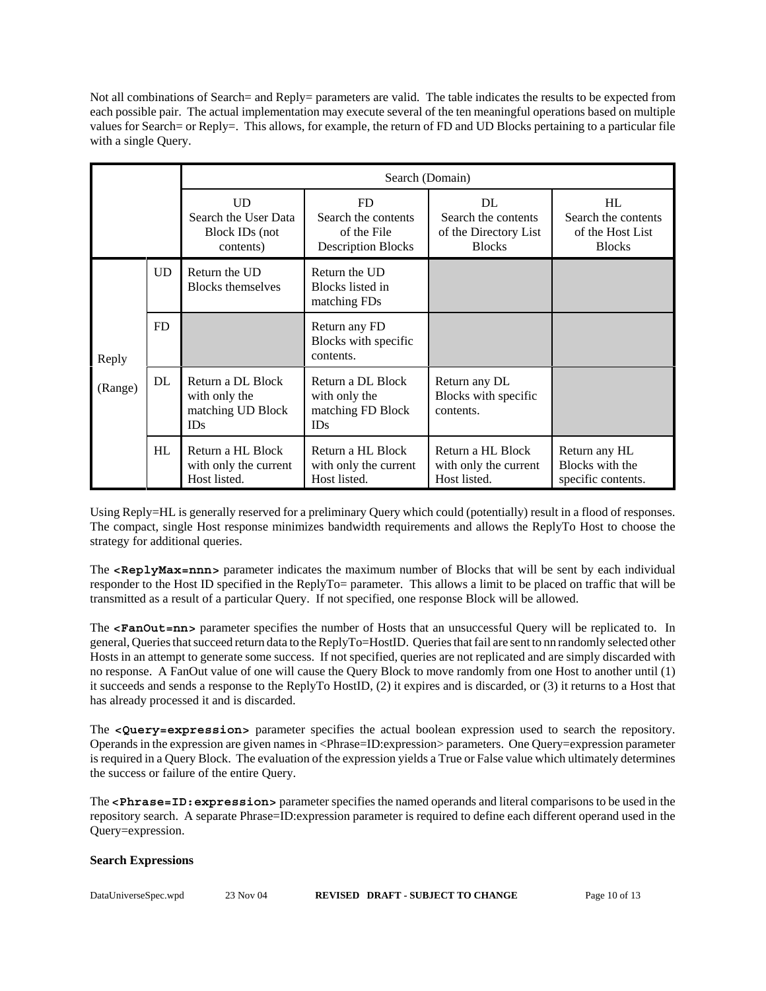Not all combinations of Search= and Reply= parameters are valid. The table indicates the results to be expected from each possible pair. The actual implementation may execute several of the ten meaningful operations based on multiple values for Search= or Reply=. This allows, for example, the return of FD and UD Blocks pertaining to a particular file with a single Query.

|                  |    | Search (Domain)                                                |                                                                        |                                                                     |                                                                |
|------------------|----|----------------------------------------------------------------|------------------------------------------------------------------------|---------------------------------------------------------------------|----------------------------------------------------------------|
|                  |    | UD<br>Search the User Data<br>Block IDs (not<br>contents)      | FD.<br>Search the contents<br>of the File<br><b>Description Blocks</b> | DL<br>Search the contents<br>of the Directory List<br><b>Blocks</b> | HL<br>Search the contents<br>of the Host List<br><b>Blocks</b> |
| Reply<br>(Range) | UD | Return the UD<br><b>Blocks themselves</b>                      | Return the UD<br>Blocks listed in<br>matching FDs                      |                                                                     |                                                                |
|                  | FD |                                                                | Return any FD<br>Blocks with specific<br>contents.                     |                                                                     |                                                                |
|                  | DL | Return a DL Block<br>with only the<br>matching UD Block<br>IDs | Return a DL Block<br>with only the<br>matching FD Block<br>IDs         | Return any DL<br>Blocks with specific<br>contents.                  |                                                                |
|                  | HL | Return a HL Block<br>with only the current<br>Host listed.     | Return a HL Block<br>with only the current<br>Host listed.             | Return a HL Block<br>with only the current<br>Host listed.          | Return any HL<br>Blocks with the<br>specific contents.         |

Using Reply=HL is generally reserved for a preliminary Query which could (potentially) result in a flood of responses. The compact, single Host response minimizes bandwidth requirements and allows the ReplyTo Host to choose the strategy for additional queries.

The **<ReplyMax=nnn>** parameter indicates the maximum number of Blocks that will be sent by each individual responder to the Host ID specified in the ReplyTo= parameter. This allows a limit to be placed on traffic that will be transmitted as a result of a particular Query. If not specified, one response Block will be allowed.

The **<FanOut=nn>** parameter specifies the number of Hosts that an unsuccessful Query will be replicated to. In general, Queries that succeed return data to the ReplyTo=HostID. Queries that fail are sent to nn randomly selected other Hosts in an attempt to generate some success. If not specified, queries are not replicated and are simply discarded with no response. A FanOut value of one will cause the Query Block to move randomly from one Host to another until (1) it succeeds and sends a response to the ReplyTo HostID, (2) it expires and is discarded, or (3) it returns to a Host that has already processed it and is discarded.

The **<Query=expression>** parameter specifies the actual boolean expression used to search the repository. Operands in the expression are given names in <Phrase=ID:expression> parameters. One Query=expression parameter is required in a Query Block. The evaluation of the expression yields a True or False value which ultimately determines the success or failure of the entire Query.

The **<Phrase=ID:expression>** parameter specifies the named operands and literal comparisons to be used in the repository search. A separate Phrase=ID:expression parameter is required to define each different operand used in the Query=expression.

#### **Search Expressions**

| DataUniverseSpec.wpd | 23 Nov 04 | <b>REVISED DRAFT - SUBJECT TO CHANGE</b> | Page 10 of 13 |
|----------------------|-----------|------------------------------------------|---------------|
|                      |           |                                          |               |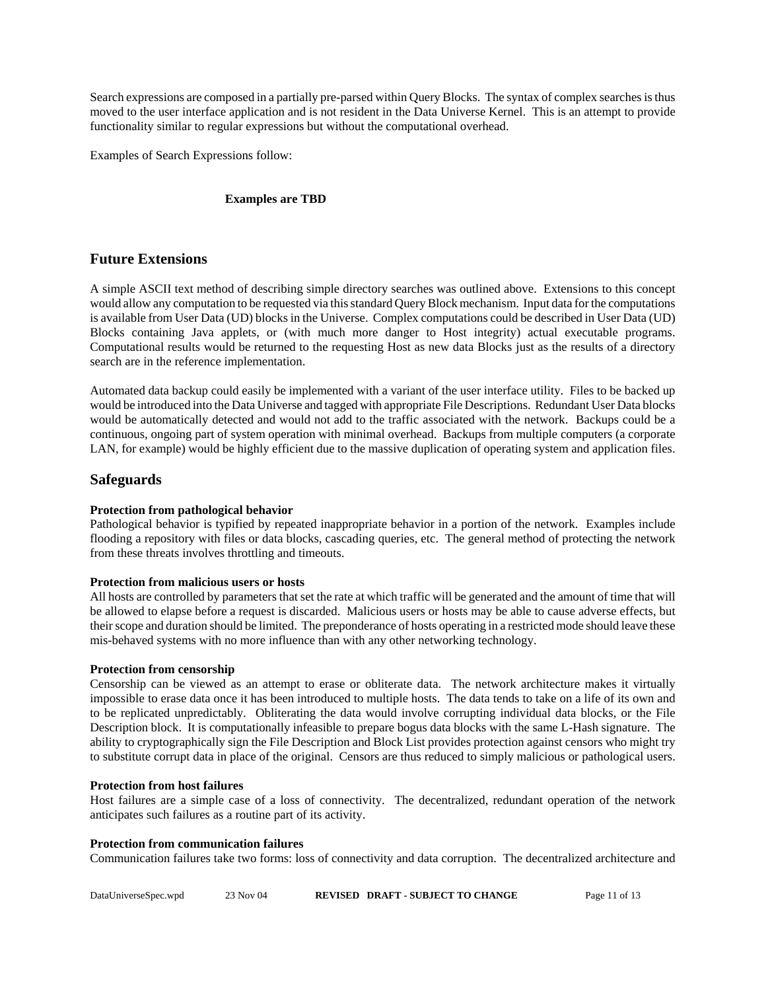Search expressions are composed in a partially pre-parsed within Query Blocks. The syntax of complex searches is thus moved to the user interface application and is not resident in the Data Universe Kernel. This is an attempt to provide functionality similar to regular expressions but without the computational overhead.

Examples of Search Expressions follow:

#### **Examples are TBD**

### **Future Extensions**

A simple ASCII text method of describing simple directory searches was outlined above. Extensions to this concept would allow any computation to be requested via this standard Query Block mechanism. Input data for the computations is available from User Data (UD) blocks in the Universe. Complex computations could be described in User Data (UD) Blocks containing Java applets, or (with much more danger to Host integrity) actual executable programs. Computational results would be returned to the requesting Host as new data Blocks just as the results of a directory search are in the reference implementation.

Automated data backup could easily be implemented with a variant of the user interface utility. Files to be backed up would be introduced into the Data Universe and tagged with appropriate File Descriptions. Redundant User Data blocks would be automatically detected and would not add to the traffic associated with the network. Backups could be a continuous, ongoing part of system operation with minimal overhead. Backups from multiple computers (a corporate LAN, for example) would be highly efficient due to the massive duplication of operating system and application files.

### **Safeguards**

#### **Protection from pathological behavior**

Pathological behavior is typified by repeated inappropriate behavior in a portion of the network. Examples include flooding a repository with files or data blocks, cascading queries, etc. The general method of protecting the network from these threats involves throttling and timeouts.

#### **Protection from malicious users or hosts**

All hosts are controlled by parameters that set the rate at which traffic will be generated and the amount of time that will be allowed to elapse before a request is discarded. Malicious users or hosts may be able to cause adverse effects, but their scope and duration should be limited. The preponderance of hosts operating in a restricted mode should leave these mis-behaved systems with no more influence than with any other networking technology.

#### **Protection from censorship**

Censorship can be viewed as an attempt to erase or obliterate data. The network architecture makes it virtually impossible to erase data once it has been introduced to multiple hosts. The data tends to take on a life of its own and to be replicated unpredictably. Obliterating the data would involve corrupting individual data blocks, or the File Description block. It is computationally infeasible to prepare bogus data blocks with the same L-Hash signature. The ability to cryptographically sign the File Description and Block List provides protection against censors who might try to substitute corrupt data in place of the original. Censors are thus reduced to simply malicious or pathological users.

#### **Protection from host failures**

Host failures are a simple case of a loss of connectivity. The decentralized, redundant operation of the network anticipates such failures as a routine part of its activity.

#### **Protection from communication failures**

Communication failures take two forms: loss of connectivity and data corruption. The decentralized architecture and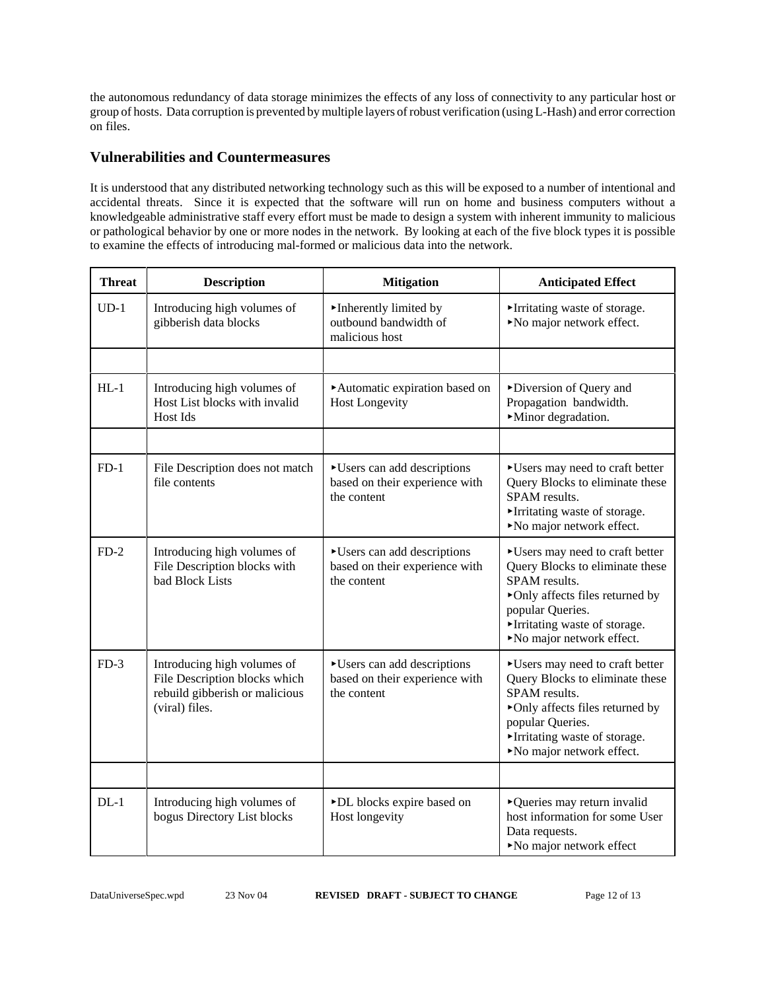the autonomous redundancy of data storage minimizes the effects of any loss of connectivity to any particular host or group of hosts. Data corruption is prevented by multiple layers of robust verification (using L-Hash) and error correction on files.

# **Vulnerabilities and Countermeasures**

It is understood that any distributed networking technology such as this will be exposed to a number of intentional and accidental threats. Since it is expected that the software will run on home and business computers without a knowledgeable administrative staff every effort must be made to design a system with inherent immunity to malicious or pathological behavior by one or more nodes in the network. By looking at each of the five block types it is possible to examine the effects of introducing mal-formed or malicious data into the network.

| <b>Threat</b> | <b>Description</b>                                                                                               | <b>Mitigation</b>                                                           | <b>Anticipated Effect</b>                                                                                                                                                                              |
|---------------|------------------------------------------------------------------------------------------------------------------|-----------------------------------------------------------------------------|--------------------------------------------------------------------------------------------------------------------------------------------------------------------------------------------------------|
| $UD-1$        | Introducing high volumes of<br>gibberish data blocks                                                             | Inherently limited by<br>outbound bandwidth of<br>malicious host            | Irritating waste of storage.<br>No major network effect.                                                                                                                                               |
|               |                                                                                                                  |                                                                             |                                                                                                                                                                                                        |
| $HL-1$        | Introducing high volumes of<br>Host List blocks with invalid<br><b>Host Ids</b>                                  | Automatic expiration based on<br><b>Host Longevity</b>                      | Diversion of Query and<br>Propagation bandwidth.<br>Minor degradation.                                                                                                                                 |
|               |                                                                                                                  |                                                                             |                                                                                                                                                                                                        |
| $FD-1$        | File Description does not match<br>file contents                                                                 | Users can add descriptions<br>based on their experience with<br>the content | Users may need to craft better<br>Query Blocks to eliminate these<br>SPAM results.<br>Irritating waste of storage.<br>No major network effect.                                                         |
| $FD-2$        | Introducing high volumes of<br>File Description blocks with<br>bad Block Lists                                   | Users can add descriptions<br>based on their experience with<br>the content | Users may need to craft better<br>Query Blocks to eliminate these<br>SPAM results.<br>• Only affects files returned by<br>popular Queries.<br>Irritating waste of storage.<br>No major network effect. |
| $FD-3$        | Introducing high volumes of<br>File Description blocks which<br>rebuild gibberish or malicious<br>(viral) files. | Users can add descriptions<br>based on their experience with<br>the content | Users may need to craft better<br>Query Blocks to eliminate these<br>SPAM results.<br>• Only affects files returned by<br>popular Queries.<br>Irritating waste of storage.<br>No major network effect. |
|               |                                                                                                                  |                                                                             |                                                                                                                                                                                                        |
| $DL-1$        | Introducing high volumes of<br>bogus Directory List blocks                                                       | >DL blocks expire based on<br>Host longevity                                | ▶ Queries may return invalid<br>host information for some User<br>Data requests.<br>No major network effect                                                                                            |